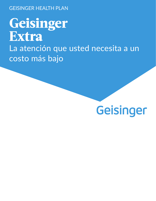GEISINGER HEALTH PLAN

**Geisinger Extra** La atención que usted necesita a un costo más bajo

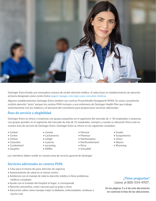

Geisinger Extra brinda una innovadora manera de recibir atención médica. Si selecciona un establecimiento de atención primaria designado como centro Extra pagará copagos más bajos para consultas médicas.

Algunos establecimientos Geisinger Extra también son centros ProvenHealth Navigator® (PHN). En estos consultorios recibirá atención "extra" porque los centros PHN incluyen a una enfermera de Geisinger Health Plan que trabaja estrechamente con los médicos y el personal del consultorio para proporcionar servicios adicionales.

# **Área de servicio y elegibilidad**

Geisinger Extra se ofrece a empresas con grupos pequeños en el segmento del mercado de 1–50 empleados y empresas con grupos grandes en el segmento del mercado de más de 51 empleados, siempre y cuando su ubicación física esté en nuestra área de servicio de Geisinger Extra. Geisinger Extra se ofrece en los siguientes condados:

- Carbon
- Centre
- Clinton
- Columbia
- Cumberland
- Dauphin
- Juniata
- Lackawanna
- Lehigh
- Luzerne
- Lycoming
- Mifflin
- Monroe
	- Montour
	- Northampton
	- Northumberland
	- Perry
	- Schuylkill

Los miembros deben residir en nuestra área de servicio general de Geisinger.

## **Servicios adicionales en centros PHN:**

- Citas para el mismo día para atención de urgencia
- Asesoramiento de salud en el mismo centro
- Asistencia con el manejo de toda la atención médica si tiene problemas médicos complejos
- Ayuda con el traslado del hospital al hogar, si corresponde
- Atención preventiva, como vacunas para la gripe u otras
- Educación sobre cómo manejar mejor la diabetes, enfermedades cardíacas y mucho más

# **¿Tiene preguntas?**

Llame al 800-554-4907.

**En las páginas 3 a 6 de este documento en-contrará la lista de las ubicaciones.**

- Snyder
- Susquehanna
- Union
- Wayne
- Wyoming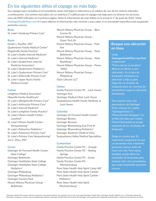# En los siguientes sitios el copago es más bajo

Sus copagos para consultas en el consultorio serán más bajos si selecciona a un médico de uno de los centros indicados a continuación. Los centros marcados con un asterisco (\*) califican para el copago más bajo pero no ofrecen los servicios extra de PHN indicados en la primera página. Nota: la información de este folleto es la actual el 1º de junio de 2022. Visite **GeisingerHealthPlan.com/find** para obtener la información más reciente y para saber si un proveedor específico está aceptando pacientes nuevos.

### **Berks**

St. Luke's Hamburg Primary Care\*

### **Bucks**

- Daniel J. Stauffer, MD\* Quakertown Family Medical Center\* Riegelsville Family Practice\* St. Luke's Dublin Internal Medicine\* St. Luke's Internal Medicine\* St. Luke's Quakertown Internal Medicine Associates\* St. Luke's Quakertown Pediatrics\* St. Luke's Quakertown Primary Care\* St. Luke's Sellersville Primary Care\* St. Luke's Upper Bucks Family
- Medical Center\*

### **Carbon**

Lehighton Medical Associates\*

- Manzella Family Healthcare\*
- St. Luke's Albrightsville Primary Care\*
- St. Luke's Anthracite Primary Care\*
- St. Luke's Internal Medicine\*
- St. Luke's Lehighton Family Practice\* St. Luke's Miners Health Center –
- Lansford\*
- St. Luke's Miners Health Center Nesquehoning\*
- St. Luke's Palmerton Pediatrics\*
- St. Luke's Palmerton Primary Care\*
- St. Luke's Primary Care Nesquehoning\* Joe S. Zhou, MD\*

### **Centre**

Geisinger 65 Forward Health Center - State College\* Geisinger Bellefonte Geisinger Healthplex State College Geisinger Healthplex State College Pediatrics\* Geisinger Philipsburg Geisinger Philipsburg Pediatrics\* Geisinger Scenery Park Mount Nittany Physician Group – Bellefonte

Mount Nittany Physician Group – Blue Course Dr Mount Nittany Physician Group – Green Tech Dr Mount Nittany Physician Group – Park Ave Mount Nittany Physician Group – Peds Bellefonte\* Mount Nittany Physician Group – Peds Boalsburg\* Mount Nittany Physician Group – Penns Valley Mount Nittany Physician Group – Philipsburg Oasis Lifecare LLC\*

### **Clinton**

Family Practice Center PC – Lock Haven Geisinger Avis Geisinger Medical Clinic Lock Haven Susquehanna Health Family Medicine at Lock Haven

### **Columbia**

Geisinger 65 Forward Health Center\* Geisinger Benton Geisinger Berwick Geisinger Bloomsburg East First St Geisinger Bloomsburg Pediatrics\* Geisinger Buckhorn Medical Clinic Susquehanna Valley Medical Specialities

### **Cumberland**

Family Practice Center PC – Ameigh Family Practice Center PC – Boiling Springs Family Practice Center PC – Enola Family Practice Center PC – Mechanicsburg Penn State Health Holy Spirit Camp Hill\* Penn State Health Holy Spirit Carlisle\* Penn State Health Holy Spirit Carlisle – Pediatrics\* Penn State Health Holy Spirit Mechanicsburg\*

# **Busque una ubicación en línea**

### Visite

**GeisingerHealthPlan.com/find**  y seleccione "Find a doctor or location" (Buscar un doctor o una ubicación). En el área de búsqueda, introduzca su ubicación y elija su plan. Haga clic en el botón de búsqueda para ver una lista de proveedores según la ubicación introducida.

Para mostrar solo a los proveedores de Geisinger Extra, marque las casillas "Geisinger Extra" o "ProvenHealth Navigator" en el filtro de redes por niveles (Tiered Networks) en el lado izquierdo de los resultados de búsqueda.

Tenga en cuenta que: Es importante asegurarse de que un proveedor esté aceptando pacientes nuevos antes de hacer una cita. Para mayor facilidad, puede filtrar los resultados de búsqueda para mostrar solo a los proveedores que están aceptando pacientes nuevos.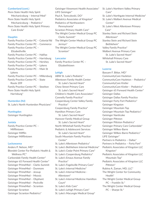### **Cumberland (cont.)**

Penn State Health Holy Spirit Mechanicsburg – Internal Med\* Penn State Health Holy Spirit Mechanicsburg – Pediatrics\* Penn State Health Holy Spirit Primary Care Enola\*

### **Dauphin**

Family Practice Center PC – Colonial Rd Family Practice Center PC – Commerce Family Practice Center PC – Elizabethville Family Practice Center PC – Halifax Family Practice Center PC – Harrisburg Family Practice Center PC – Hershey Family Practice Center PC – Lykens Family Practice Center PC – Main St Lykens Family Practice Center PC – Millersburg Family Practice Center PC – State Route 209 Family Practice Center PC – Steelton Penn State Health Holy Spirit Harrisburg\*

### **Hunterdon (NJ)**

St. Luke's North Hunterdon Physicians\*

#### **Huntingdon**

Geisinger Huntingdon

#### **Juniata**

Family Practice Center PC – Mifflintown Geisinger Mifflin Geisinger Mifflintown

#### **Lackawanna**

Anders P. Nelson, MD\* Blondek Center For Pediatric Health & Wellness PC\* Carbondale Family Health Center\* Geisinger 65 Forward Health Center\* Geisinger PrimeMed – Clarks Summit Geisinger PrimeMed – Dunmore Geisinger PrimeMed – Jessup Geisinger PrimeMed – Moosic Geisinger PrimeMed – Olyphant Geisinger PrimeMed – Peckville Geisinger PrimeMed – Scranton Geisinger Scranton Geisinger Scranton Pediatrics\*

Geisinger Viewmont Health Associates\* LIFE Geisinger\* Paul A. Tomcykoski, DO\* Pediatrics Associates of Kingston\* Pediatrics of Northeastern Pennsylvania\* Scranton Primary Health Care\* The Wright Center Medical Group PC Clarks Summit\* The Wright Center Medical Group PC Jermyn\* The Wright Center Medical Group PC Scranton\*

### **Lancaster**

Family Practice Center PC – Elizabethtown

### **Lehigh**

ABW St. Luke's Pediatric\* Allentown Family Health Center St. Luke's Sacred Heart\* Chew Street Primary Care St. Luke's Sacred Heart\* Children's Health Care Associates\* Connelly Family Practice\* Coopersburg Center Valley Family Practice\* Coopersburg Family Practice\* Hamilton Primary Care St. Luke's Sacred Heart\* Hanover Family Medical Group St. Luke's Sacred Heart\* North Whitehall Family Practice\* Pediatric & Adolescent Services St. Luke's Sacred Heart\* South Mountain Family Practice Center\* St. Luke's Allentown Pediatrics\* St. Luke's Bethlehem Internal Medicine\* St. Luke's Cedar Point Primary Care\* St. Luke's Coopersburg Pediatrics\* St. Luke's Emaus Avenue Family Practice\* St. Luke's Fogelsville Primary Care\* St. Luke's Internal Medicine\* St. Luke's Internal Medicine - Allentown\* St. Luke's Internal Medicine Hamilton Court\* St. Luke's Kids Care\* St. Luke's Lehigh Primary Care\* St. Luke's Macungie Medical Group\*

- St. Luke's Northern Valley Primary Care\*
- St. Luke's Northgate Internal Medicine\*
- St. Luke's Walbert Avenue Medical Center\*
- St. Luke's West Allentown Primary Care\*
- Stanley Stein and Richard Stein Allentown\*
- Stanley Stein and Richard Stein Bethlehem\*

Valley Family Practice\*

Walbert Avenue Primary Care St. Luke's Sacred Heart\*

Whitehall Primary Care

St. Luke's Sacred Heart\*

#### **Luzerne**

Bassam F. Bittar, MD\* CommunityCare Hazleton CommunityCare Hazleton – Pediatrics\* CommunityCare Kistler CommunityCare Kistler – Pediatrics\* Geisinger 65 Forward Health Center\* Geisinger Dallas Geisinger Dallas Family Practice Geisinger Forty Fort Pediatrics\* Geisinger Kingston Geisinger Mountain Top Geisinger Mountain Top Pediatrics\* Geisinger Nanticoke Geisinger Pittston Geisinger Pittston Pediatrics\* Geisinger Primary Care Carbondale\* Geisinger Wilkes-Barre Geisinger Wilkes-Barre Pediatrics\* LIFE Geisinger\* Partners in Pediatrics – Dallas\* Partners in Pediatrics – Forty Fort\* Pediatric Associates of Kingston LLC Kingston\* Pediatric Associates of Kingston LLC Mountain Top\* Pediatric Associates of Kingston LLC Pittston\* Rubina A. Zaman, MD, LLC\* The Wright Center for Community Health\* The Wright Center Medical Group PC – Franklin St.\* The Wright Center Medical Group PC – Sharpe St.\*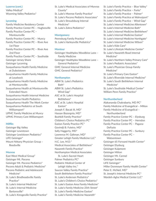### **Luzerne (cont.)**

Valley Medical\* Wyoming Valley Pediatrics\*

### **Lycoming**

Family Medicine Residency Center Family Practice Center PC – Hughesville Family Practice Center PC – Montoursville Family Practice Center PC – Muncy Family Practice Center PC – River Ave 1st Floor Family Practice Center PC – River Ave 2nd Floor Family Practice Center PC – Southside Geisinger Jersey Shore Geisinger Lycoming Susquehanna Health Family Medicine at Duboistown Susquehanna Health Family Medicine at Loyalsock Susquehanna Health Family Medicine at Montoursville Susquehanna Health at Montoursville Extended Hours Susquehanna Health Internal Medicine Susquehanna Health Pediatrics Susquehanna Health The Work Center Susquehanna Pediatrics at South Williamsport\* UPMC Family Medicine at Muncy UPMC Primary Care Williamsport **Mifflin**

Geisinger Big Valley Geisinger Lewistown Geisinger Lewistown Pediatrics\* LIFE Geisinger\* Mount Nittany Physician Group – Reedsville

### **Monroe**

- East West Medical Group\* Geisinger Mt. Pocono Geisinger Mt. Pocono Pediatrics\* Pocono Adult & Pediatric Medicine\* Pocono Pediatric and Adolescent Medicine\* St. Luke's Brodheadsville Family Practice\* St. Luke's Internal Medicine\*
- St. Luke's Internal Medicine Bartonsville\*
- St. Luke's Kresgeville Family Practice\*
- St. Luke's Medical Associates of Monroe County\*
- St. Luke's Monroe Family Practice\*
- St. Luke's Pocono Pediatric Associates\*
- St. Luke's Stroudsburg Internal Medicine\*
- St. Luke's Zahra Pediatrics\*

### **Montgomery**

Pennsburg Family Practice\* St. Luke's Harleysville Pediatrics\*

### **Montour**

Geisinger Healthplex Woodbine Lane – Family Medicine Geisinger Healthplex Woodbine Lane – General Pediatrics\* GMC General Internal Medicine GMC General Pediatrics\*

#### **Northampton**

ABW St. Luke's Pediatrics Bath\* ABW St. Luke's Pediatrics Wind Gap\* ASC at St. Luke's Hospital Bethlehem\* ASC at St. Luke's Hospital Easton\* Joseph F. Bacak III, MD\* Hassan Bozorgnia, MD\* Bushkill Family Practice\* Children's Choice Pediatrics PC\* Easton Family Practice PC\* Govindji B. Fuletra, MD\* Sally Haggerty, MD\* Lawrence M. Galtman, MD\* Greater Lehigh Family Medicine LLC\* H.C. Lee, M.D.\* Medical Associates of Bethlehem\* Nazareth Family Practice\* Northampton Medical Associates St. Luke's Sacred Heart Palmer Pediatrics PC\* Pediatric Medical Center of Lehigh Valley Inc.\* Saucon Valley Family Practice\* South Bethlehem Family Practice\* St. Luke's Anderson Pediatrics\* St. Luke's Children's Choice Pediatrics\* St. Luke's Easton Area Family Medicine\* St. Luke's Family Medicine 25th Street\* St. Luke's Family Medicine Easton\* St. Luke's Family Medicine Nazareth\*

- St. Luke's Family Practice Blue Valley\*
- St. Luke's Family Practice Forks\*
- St. Luke's Family Practice Palmer\*
- St. Luke's Family Practice at Walnutport\*
- St. Luke's Family Practice Wind Gap\*
- St. Luke's Internal Medicine Allentown\*
- St. Luke's Internal Medicine Bath\*
- St. Luke's Internal Medicine Bethlehem\*
- St. Luke's Internal Medicine Easton\*
- St. Luke's Internal Medicine Northgate\*
- St. Luke's Internal Medicine Wilson\*
- St. Luke's Kids Care\*
- St. Luke's Lifestyle Medicine Center\*
- St. Luke's Nazareth Road Internal Medicine\*
- St. Luke's Northern Valley Primary Care\*
- St. Luke's Pediatric Associates\*
- St. Luke's Physician Group Family Medicine\*
- St. Luke's Primary Care Easton\*
- St. Luke's Riverside Internal Medicine\*
- St. Luke's South Bethlehem Internal Medicine\*
- St. Luke's Southside Medical Center\* William Penn Family Practice\*

### **Northumberland**

Alakananda Chakrabarty, MD PC\* Family Medicine of Evangelical – Milton Family Medicine of Evangelical – Northumberland Family Practice Center PC – Elysburg Family Practice Center PC – Herndon Family Practice Center PC – Pagana- DeFazio Family Practice Center PC – Sunbury Family Practice Center PC – **Watsontown** Geisinger 65 Forward Health Center\* Geisinger Elysburg Geisinger Kulpmont Geisinger Milton Geisinger Mt. Carmel Geisinger Sunbury LIFE Geisinger\* Miller Donmoyer Family Health Center\* Peter E. McNeil, MD\* St. Joseph's Internal Medicine PC\* Wardeh-Agha Medical Center LLC\*